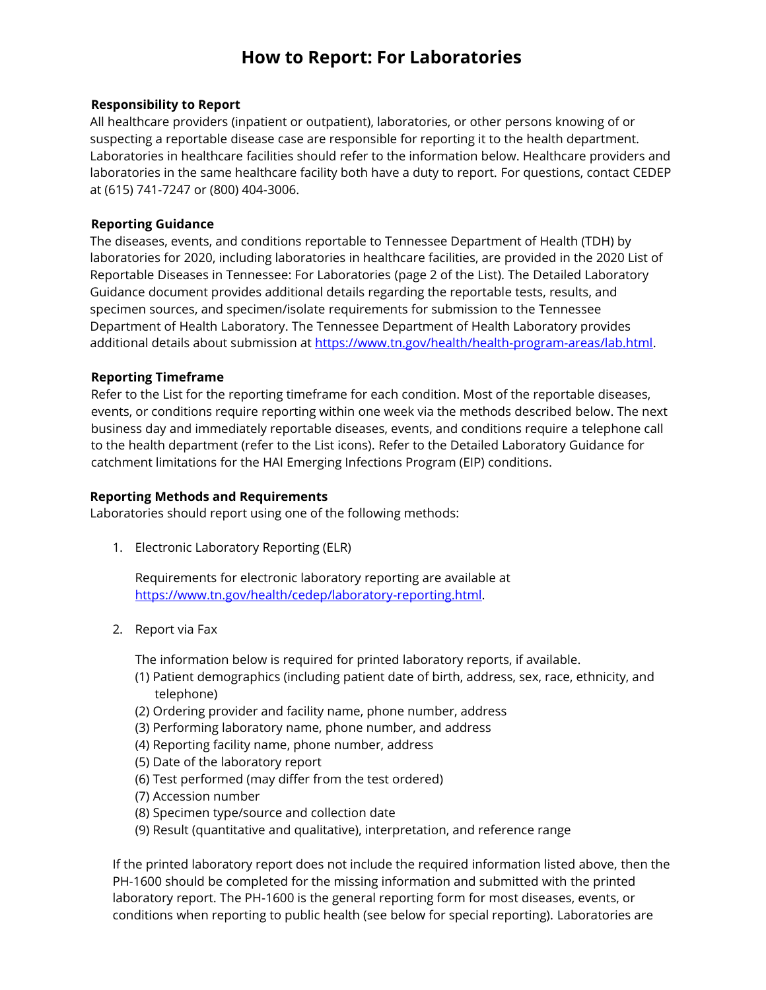# **How to Report: For Laboratories**

### **Responsibility to Report**

All healthcare providers (inpatient or outpatient), laboratories, or other persons knowing of or suspecting a reportable disease case are responsible for reporting it to the health department. Laboratories in healthcare facilities should refer to the information below. Healthcare providers and laboratories in the same healthcare facility both have a duty to report. For questions, contact CEDEP at (615) 741-7247 or (800) 404-3006.

### **Reporting Guidance**

The diseases, events, and conditions reportable to Tennessee Department of Health (TDH) by laboratories for 2020, including laboratories in healthcare facilities, are provided in the 2020 [List of](file:///C:/Users/dc49e01/Desktop/2017_List_For_Laboratories.pdf)  [Reportable Diseases in Tennessee: For Laboratories](file:///C:/Users/dc49e01/Desktop/2017_List_For_Laboratories.pdf) (page 2 of the List). The [Detailed Laboratory](file:///C:/Users/dc49e01/Desktop/2017_Detailed_Laboratory_Guidance.pdf)  [Guidance](file:///C:/Users/dc49e01/Desktop/2017_Detailed_Laboratory_Guidance.pdf) document provides additional details regarding the reportable tests, results, and specimen sources, and specimen/isolate requirements for submission to the Tennessee Department of Health Laboratory. The Tennessee Department of Health Laboratory provides additional details about submission at [https://www.tn.gov/health/health-program-areas/lab.html.](https://www.tn.gov/health/health-program-areas/lab.html)

### **Reporting Timeframe**

Refer to the List for the reporting timeframe for each condition. Most of the reportable diseases, events, or conditions require reporting within one week via the methods described below. The next business day and immediately reportable diseases, events, and conditions require a telephone call to the health department (refer to the List icons). Refer to the Detailed Laboratory Guidance for catchment limitations for the HAI Emerging Infections Program (EIP) conditions.

#### **Reporting Methods and Requirements**

Laboratories should report using one of the following methods:

1. Electronic Laboratory Reporting (ELR)

Requirements for electronic laboratory reporting are available at [https://www.tn.gov/health/cedep/laboratory-reporting.html.](https://www.tn.gov/health/cedep/laboratory-reporting.html)

2. Report via Fax

The information below is required for printed laboratory reports, if available.

- (1) Patient demographics (including patient date of birth, address, sex, race, ethnicity, and telephone)
- (2) Ordering provider and facility name, phone number, address
- (3) Performing laboratory name, phone number, and address
- (4) Reporting facility name, phone number, address
- (5) Date of the laboratory report
- (6) Test performed (may differ from the test ordered)
- (7) Accession number
- (8) Specimen type/source and collection date
- (9) Result (quantitative and qualitative), interpretation, and reference range

If the printed laboratory report does not include the required information listed above, then the [PH-1600](file:///C:/Users/dc49e01/Desktop/2017_Reporting_Form_PH-1600.pdf) should be completed for the missing information and submitted with the printed laboratory report. The PH-1600 is the general reporting form for most diseases, events, or conditions when reporting to public health (see below for special reporting). Laboratories are